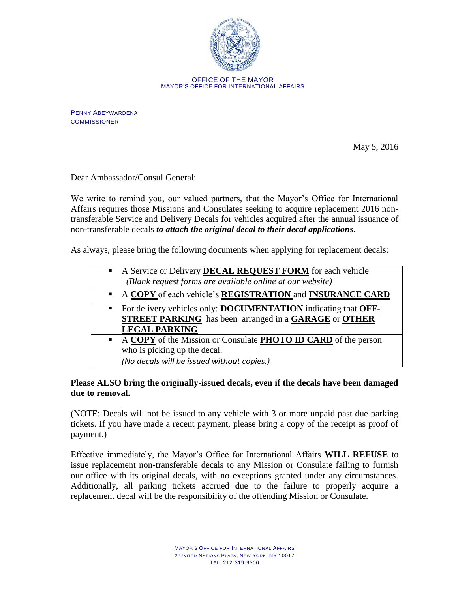

OFFICE OF THE MAYOR MAYOR'S OFFICE FOR INTERNATIONAL AFFAIRS

PENNY ABEYWARDENA **COMMISSIONER** 

May 5, 2016

Dear Ambassador/Consul General:

We write to remind you, our valued partners, that the Mayor's Office for International Affairs requires those Missions and Consulates seeking to acquire replacement 2016 nontransferable Service and Delivery Decals for vehicles acquired after the annual issuance of non-transferable decals *to attach the original decal to their decal applications*.

As always, please bring the following documents when applying for replacement decals:

|                | A Service or Delivery <b>DECAL REQUEST FORM</b> for each vehicle              |
|----------------|-------------------------------------------------------------------------------|
|                | (Blank request forms are available online at our website)                     |
|                | A COPY of each vehicle's REGISTRATION and INSURANCE CARD                      |
| $\blacksquare$ | For delivery vehicles only: <b>DOCUMENTATION</b> indicating that <b>OFF</b> - |
|                | <b>STREET PARKING</b> has been arranged in a <b>GARAGE</b> or <b>OTHER</b>    |
|                | <b>LEGAL PARKING</b>                                                          |
| $\blacksquare$ | A COPY of the Mission or Consulate PHOTO ID CARD of the person                |
|                | who is picking up the decal.                                                  |
|                | (No decals will be issued without copies.)                                    |

## **Please ALSO bring the originally-issued decals, even if the decals have been damaged due to removal.**

(NOTE: Decals will not be issued to any vehicle with 3 or more unpaid past due parking tickets. If you have made a recent payment, please bring a copy of the receipt as proof of payment.)

Effective immediately, the Mayor's Office for International Affairs **WILL REFUSE** to issue replacement non-transferable decals to any Mission or Consulate failing to furnish our office with its original decals, with no exceptions granted under any circumstances. Additionally, all parking tickets accrued due to the failure to properly acquire a replacement decal will be the responsibility of the offending Mission or Consulate.